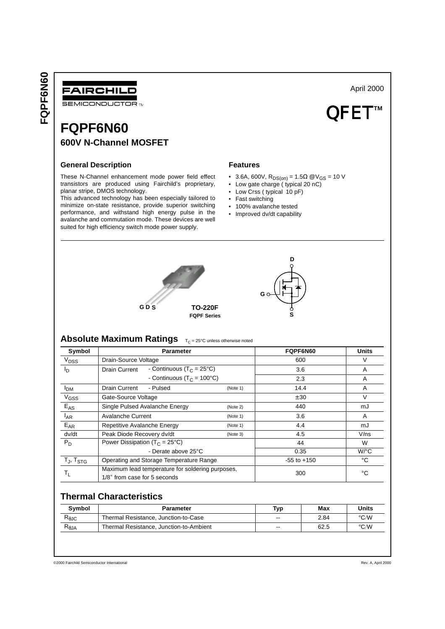FQPF6N60 **FQPF6N60**



**SEMICONDUCTOR TM** 

# **FQPF6N60 600V N-Channel MOSFET**

### **General Description**

These N-Channel enhancement mode power field effect transistors are produced using Fairchild's proprietary, planar stripe, DMOS technology.

This advanced technology has been especially tailored to minimize on-state resistance, provide superior switching performance, and withstand high energy pulse in the avalanche and commutation mode. These devices are well suited for high efficiency switch mode power supply.

### **Features**

• 3.6A, 600V, R<sub>DS(on)</sub> = 1.5Ω @V<sub>GS</sub> = 10 V

April 2000

QFET<sup>™</sup>

- Low gate charge ( typical 20 nC)
- Low Crss ( typical 10 pF)
- Fast switching
- 100% avalanche tested
- Improved dv/dt capability





# **Absolute Maximum Ratings** T<sub>C</sub> = 25°C unless otherwise noted

| Symbol             | <b>Parameter</b>                                                                 |          | FQPF6N60        | <b>Units</b>         |
|--------------------|----------------------------------------------------------------------------------|----------|-----------------|----------------------|
| V <sub>DSS</sub>   | Drain-Source Voltage                                                             |          | 600             | V                    |
| פו                 | - Continuous (T <sub>C</sub> = 25°C)<br>Drain Current                            |          | 3.6             | A                    |
|                    | - Continuous ( $T_C = 100^{\circ}C$ )                                            |          | 2.3             | A                    |
| I <sub>DM</sub>    | Drain Current<br>- Pulsed                                                        | (Note 1) | 14.4            | A                    |
| $V$ <sub>GSS</sub> | Gate-Source Voltage                                                              |          | ± 30            | $\vee$               |
| $E_{AS}$           | Single Pulsed Avalanche Energy                                                   | (Note 2) | 440             | mJ                   |
| $I_{AR}$           | <b>Avalanche Current</b>                                                         | (Note 1) | 3.6             | A                    |
| $E_{AR}$           | Repetitive Avalanche Energy                                                      | (Note 1) | 4.4             | mJ                   |
| dv/dt              | Peak Diode Recovery dv/dt                                                        | (Note 3) | 4.5             | $V$ /ns              |
| $P_D$              | Power Dissipation ( $T_C = 25^{\circ}C$ )                                        |          | 44              | W                    |
|                    | - Derate above 25°C                                                              |          | 0.35            | $W$ <sup>o</sup> $C$ |
| $T_J$ , $T_{STG}$  | Operating and Storage Temperature Range                                          |          | $-55$ to $+150$ | °C                   |
| Tī.                | Maximum lead temperature for soldering purposes,<br>1/8" from case for 5 seconds |          | 300             | °C                   |

# **Thermal Characteristics**

| Symbol                                | <b>Parameter</b>                        | Typ    | Max  | <b>Units</b>  |
|---------------------------------------|-----------------------------------------|--------|------|---------------|
| $\mathsf{R}_{\Theta\mathsf{JC}}$      | Thermal Resistance, Junction-to-Case    | --     | 2.84 | $\degree$ C/W |
| $\mathsf{R}_{\boldsymbol{\theta}}$ JA | Thermal Resistance, Junction-to-Ambient | $\sim$ | 62.5 | $\degree$ C/W |

©2000 Fairchild Semiconductor International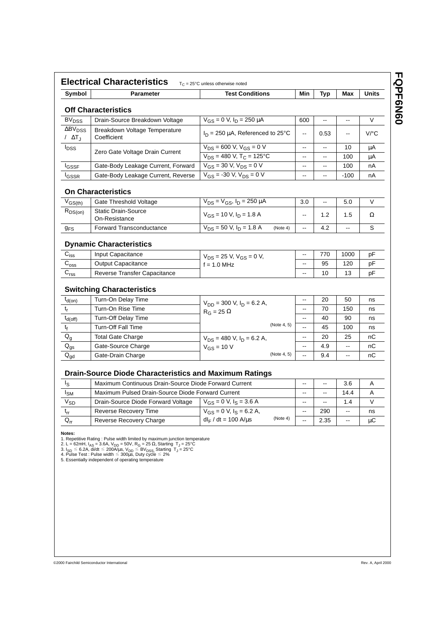| Symbol                                       | <b>Parameter</b>                                              | <b>Test Conditions</b>                   |          | Min                      | Typ                      | Max                      | <b>Units</b>         |
|----------------------------------------------|---------------------------------------------------------------|------------------------------------------|----------|--------------------------|--------------------------|--------------------------|----------------------|
|                                              | <b>Off Characteristics</b>                                    |                                          |          |                          |                          |                          |                      |
| <b>BV<sub>DSS</sub></b>                      | Drain-Source Breakdown Voltage                                | $V_{GS} = 0$ V, $I_D = 250 \mu A$        |          | 600                      | Ξ.                       | $\overline{\phantom{a}}$ | V                    |
| $\Delta$ BV <sub>DSS</sub><br>/ $\Delta T_J$ | Breakdown Voltage Temperature<br>Coefficient                  | $I_D = 250 \mu A$ , Referenced to 25°C   |          | Ξ.                       | 0.53                     | --                       | $V$ <sup>o</sup> $C$ |
| $I_{DSS}$                                    | Zero Gate Voltage Drain Current                               | $V_{DS}$ = 600 V, $V_{GS}$ = 0 V         |          | --                       | $\overline{\phantom{a}}$ | 10                       | μA                   |
|                                              |                                                               | $V_{DS}$ = 480 V, T <sub>C</sub> = 125°C |          | ۰.                       | $\overline{\phantom{a}}$ | 100                      | μA                   |
| <b>I</b> GSSF                                | Gate-Body Leakage Current, Forward                            | $V_{GS}$ = 30 V, $V_{DS}$ = 0 V          |          | $\overline{\phantom{a}}$ | $\overline{\phantom{a}}$ | 100                      | nА                   |
| <sup>I</sup> GSSR                            | Gate-Body Leakage Current, Reverse                            | $V_{GS}$ = -30 V, $V_{DS}$ = 0 V         |          | ц,                       | $\overline{\phantom{a}}$ | $-100$                   | nA                   |
|                                              | <b>On Characteristics</b>                                     |                                          |          |                          |                          |                          |                      |
| $V_{GS(th)}$                                 | Gate Threshold Voltage                                        | $V_{DS} = V_{GS}$ , $I_D = 250 \mu A$    |          | 3.0                      | $\overline{\phantom{a}}$ | 5.0                      | V                    |
| $R_{DS(on)}$                                 | <b>Static Drain-Source</b><br>On-Resistance                   | $V_{GS}$ = 10 V, $I_D$ = 1.8 A           |          | --                       | 1.2                      | 1.5                      | Ω                    |
| $g_{FS}$                                     | <b>Forward Transconductance</b>                               | $V_{DS}$ = 50 V, I <sub>D</sub> = 1.8 A  | (Note 4) | 44                       | 4.2                      | $-$                      | S                    |
|                                              | <b>Dynamic Characteristics</b>                                |                                          |          |                          |                          |                          |                      |
| $C_{iss}$                                    | Input Capacitance                                             | $V_{DS}$ = 25 V, $V_{GS}$ = 0 V,         |          | Ξ.                       | 770                      | 1000                     | pF                   |
| $C_{\rm oss}$                                | <b>Output Capacitance</b>                                     | $f = 1.0$ MHz                            |          | --                       | 95                       | 120                      | рF                   |
| $\mathrm{C_{rss}}$                           | <b>Reverse Transfer Capacitance</b>                           |                                          |          |                          | 10                       | 13                       | рF                   |
|                                              | <b>Switching Characteristics</b>                              |                                          |          |                          |                          |                          |                      |
| $t_{d(on)}$                                  | Turn-On Delay Time                                            | $V_{DD}$ = 300 V, $I_D$ = 6.2 A,         |          | --                       | 20                       | 50                       | ns                   |
| $t_r$                                        | Turn-On Rise Time                                             | $R_G = 25 \Omega$<br>(Note 4, 5)         |          | ш.                       | 70                       | 150                      | ns                   |
| $t_{d(off)}$                                 | Turn-Off Delay Time                                           |                                          |          | Ξ.                       | 40                       | 90                       | ns                   |
| t <sub>f</sub>                               | <b>Turn-Off Fall Time</b>                                     |                                          |          | --                       | 45                       | 100                      | ns                   |
| $\mathsf{Q}_{\mathsf{g}}$                    | <b>Total Gate Charge</b>                                      | $V_{DS}$ = 480 V, $I_D$ = 6.2 A,         |          | --                       | 20                       | 25                       | nС                   |
| $\mathsf{Q}_{\mathsf{gs}}$                   | Gate-Source Charge                                            | $V_{GS}$ = 10 V<br>(Note 4, 5)           |          | --                       | 4.9                      | --                       | nC                   |
| $\mathsf{Q}_{\mathsf{gd}}$                   | Gate-Drain Charge                                             |                                          |          | $\overline{\phantom{a}}$ | 9.4                      | --                       | nC                   |
|                                              | <b>Drain-Source Diode Characteristics and Maximum Ratings</b> |                                          |          |                          |                          |                          |                      |
| Is                                           | Maximum Continuous Drain-Source Diode Forward Current         |                                          |          | --                       | $\overline{\phantom{a}}$ | 3.6                      | Α                    |
| $I_{\text{SM}}$                              | Maximum Pulsed Drain-Source Diode Forward Current             |                                          |          | Ξ.                       | $-$                      | 14.4                     | Α                    |
| <b>V<sub>SD</sub></b>                        | Drain-Source Diode Forward Voltage                            | $V_{GS} = 0$ V, $I_S = 3.6$ A            |          | --                       | $\overline{\phantom{a}}$ | 1.4                      | V                    |
| $t_{rr}$                                     | <b>Reverse Recovery Time</b>                                  | $V_{GS} = 0$ V, $I_S = 6.2$ A,           |          | --                       | 290                      | $\overline{\phantom{a}}$ | ns                   |
| $Q_{rr}$                                     | Reverse Recovery Charge                                       | $dl_F/dt = 100$ A/ $\mu$ s               | (Note 4) |                          | 2.35                     |                          | μC                   |

**Notes:**<br>2. Lepetitive Rating : Pulse width limited by maximum junction temperature<br>2. L = 62mH,  $I_{AS}$  = 3.6A,  $V_{DD}$  = 50V, R<sub>G</sub> = 25  $\Omega$ , Starting T<sub>J</sub> = 25°C<br>3. I<sub>SD</sub> ≤ 6.2A, di/dt ≤ 200A/us, V<sub>DD</sub> ≤ BV<sub>DSS,</sub> Startin

©2000 Fairchild Semiconductor International

**FQPF6N60**

**FQPF6N60**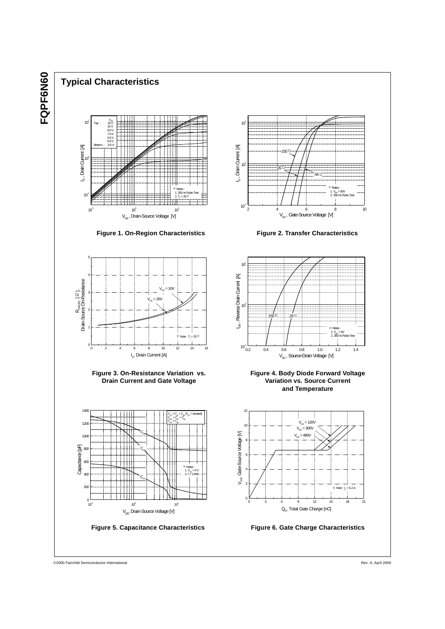

# **Typical Characteristics**



**Figure 1. On-Region Characteristics Figure 2. Transfer Characteristics**





**Figure 3. On-Resistance Variation vs. Drain Current and Gate Voltage**











©2000 Fairchild Semiconductor International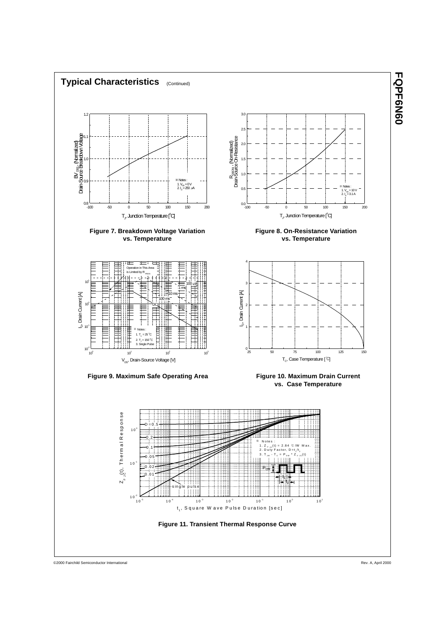

**TOPFONSO FQPF6N60**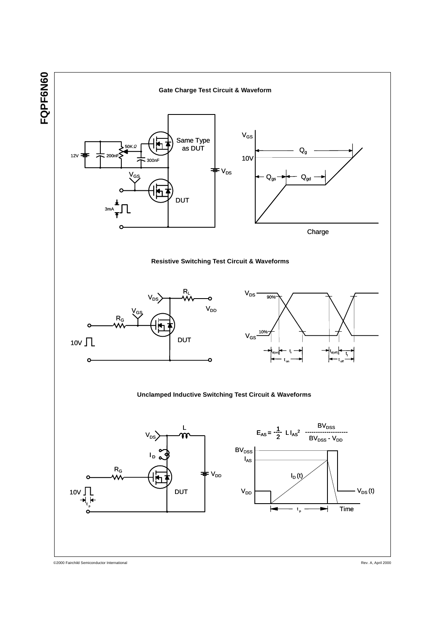

©2000 Fairchild Semiconductor International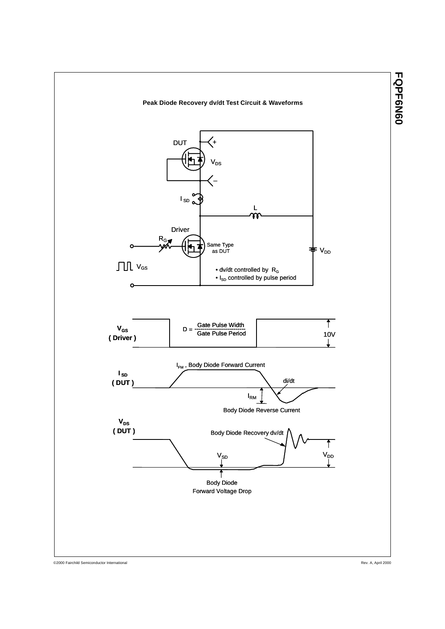

©2000 Fairchild Semiconductor International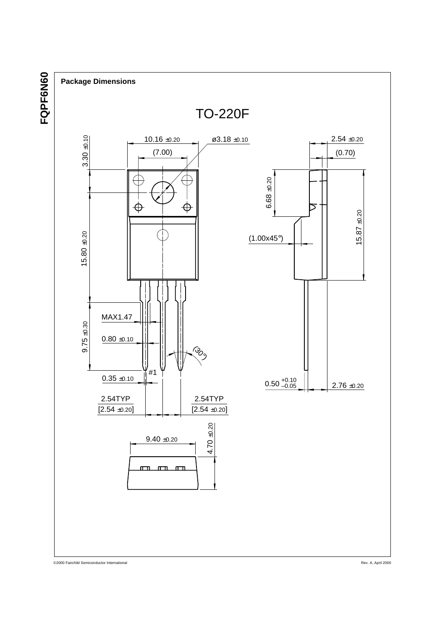



©2000 Fairchild Semiconductor International